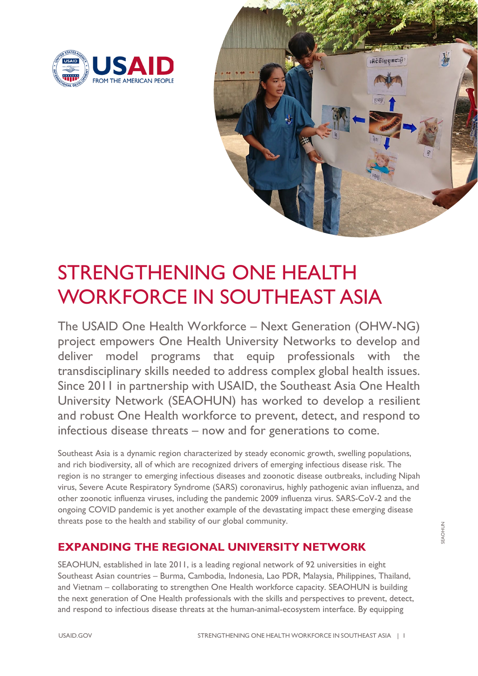



## STRENGTHENING ONE HEALTH WORKFORCE IN SOUTHEAST ASIA

The USAID One Health Workforce – Next Generation (OHW-NG) project empowers One Health University Networks to develop and deliver model programs that equip professionals with the transdisciplinary skills needed to address complex global health issues. Since 2011 in partnership with USAID, the Southeast Asia One Health University Network (SEAOHUN) has worked to develop a resilient and robust One Health workforce to prevent, detect, and respond to infectious disease threats – now and for generations to come.

Southeast Asia is a dynamic region characterized by steady economic growth, swelling populations, and rich biodiversity, all of which are recognized drivers of emerging infectious disease risk. The region is no stranger to emerging infectious diseases and zoonotic disease outbreaks, including Nipah virus, Severe Acute Respiratory Syndrome (SARS) coronavirus, highly pathogenic avian influenza, and other zoonotic influenza viruses, including the pandemic 2009 influenza virus. SARS-CoV-2 and the ongoing COVID pandemic is yet another example of the devastating impact these emerging disease threats pose to the health and stability of our global community.

## **EXPANDING THE REGIONAL UNIVERSITY NETWORK**

SEAOHUN, established in late 2011, is a leading regional network of 92 universities in eight Southeast Asian countries – Burma, Cambodia, Indonesia, Lao PDR, Malaysia, Philippines, Thailand, and Vietnam – collaborating to strengthen One Health workforce capacity. SEAOHUN is building the next generation of One Health professionals with the skills and perspectives to prevent, detect, and respond to infectious disease threats at the human-animal-ecosystem interface. By equipping